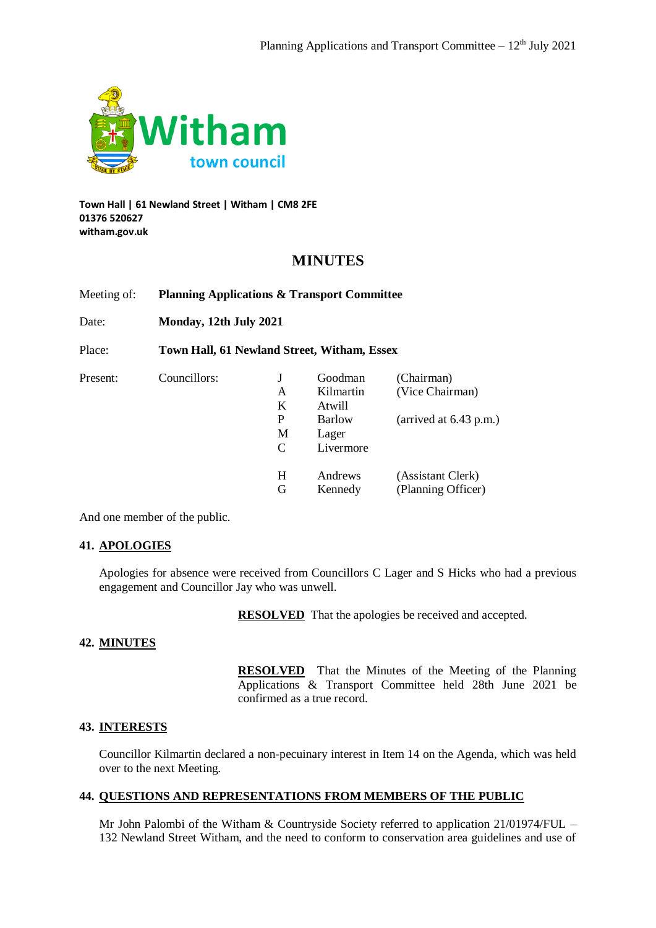

**Town Hall | 61 Newland Street | Witham | CM8 2FE 01376 520627 witham.gov.uk**

# **MINUTES**

Meeting of: **Planning Applications & Transport Committee**

Date: **Monday, 12th July 2021**

Place: **Town Hall, 61 Newland Street, Witham, Essex**

| Present: | Councillors: |   | Goodman       | (Chairman)               |
|----------|--------------|---|---------------|--------------------------|
|          |              | Α | Kilmartin     | (Vice Chairman)          |
|          |              | K | Atwill        |                          |
|          |              | P | <b>Barlow</b> | (arrived at $6.43$ p.m.) |
|          |              | М | Lager         |                          |
|          |              | C | Livermore     |                          |
|          |              | H | Andrews       | (Assistant Clerk)        |
|          |              | G | Kennedy       | (Planning Officer)       |

And one member of the public.

## **41. APOLOGIES**

Apologies for absence were received from Councillors C Lager and S Hicks who had a previous engagement and Councillor Jay who was unwell.

**RESOLVED** That the apologies be received and accepted.

# **42. MINUTES**

**RESOLVED** That the Minutes of the Meeting of the Planning Applications & Transport Committee held 28th June 2021 be confirmed as a true record.

## **43. INTERESTS**

Councillor Kilmartin declared a non-pecuinary interest in Item 14 on the Agenda, which was held over to the next Meeting.

## **44. QUESTIONS AND REPRESENTATIONS FROM MEMBERS OF THE PUBLIC**

Mr John Palombi of the Witham & Countryside Society referred to application 21/01974/FUL – 132 Newland Street Witham, and the need to conform to conservation area guidelines and use of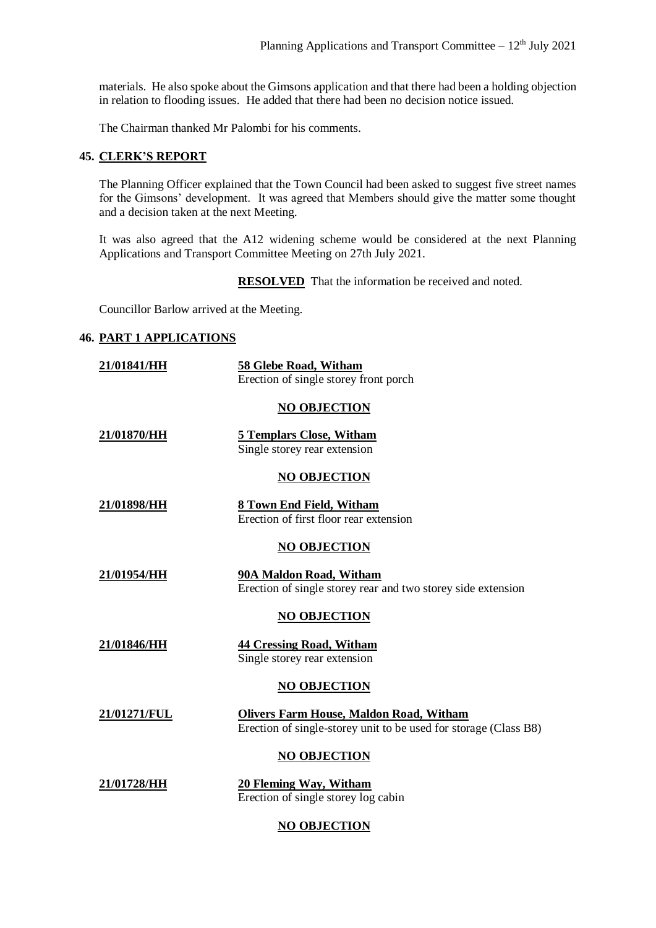materials. He also spoke about the Gimsons application and that there had been a holding objection in relation to flooding issues. He added that there had been no decision notice issued.

The Chairman thanked Mr Palombi for his comments.

#### **45. CLERK'S REPORT**

The Planning Officer explained that the Town Council had been asked to suggest five street names for the Gimsons' development. It was agreed that Members should give the matter some thought and a decision taken at the next Meeting.

It was also agreed that the A12 widening scheme would be considered at the next Planning Applications and Transport Committee Meeting on 27th July 2021.

**RESOLVED** That the information be received and noted.

Councillor Barlow arrived at the Meeting.

#### **46. PART 1 APPLICATIONS**

| 21/01841/HH        | 58 Glebe Road, Witham<br>Erection of single storey front porch                                                     |
|--------------------|--------------------------------------------------------------------------------------------------------------------|
|                    | <b>NO OBJECTION</b>                                                                                                |
| 21/01870/HH        | <b>5 Templars Close, Witham</b><br>Single storey rear extension                                                    |
|                    | <b>NO OBJECTION</b>                                                                                                |
| <u>21/01898/HH</u> | 8 Town End Field, Witham<br>Erection of first floor rear extension                                                 |
|                    | <b>NO OBJECTION</b>                                                                                                |
| 21/01954/HH        | 90A Maldon Road, Witham<br>Erection of single storey rear and two storey side extension                            |
|                    | <b>NO OBJECTION</b>                                                                                                |
| 21/01846/HH        | <b>44 Cressing Road, Witham</b><br>Single storey rear extension                                                    |
|                    | <b>NO OBJECTION</b>                                                                                                |
| 21/01271/FUL       | <b>Olivers Farm House, Maldon Road, Witham</b><br>Erection of single-storey unit to be used for storage (Class B8) |
|                    | <b>NO OBJECTION</b>                                                                                                |
| 21/01728/HH        | 20 Fleming Way, Witham<br>Erection of single storey log cabin                                                      |

## **NO OBJECTION**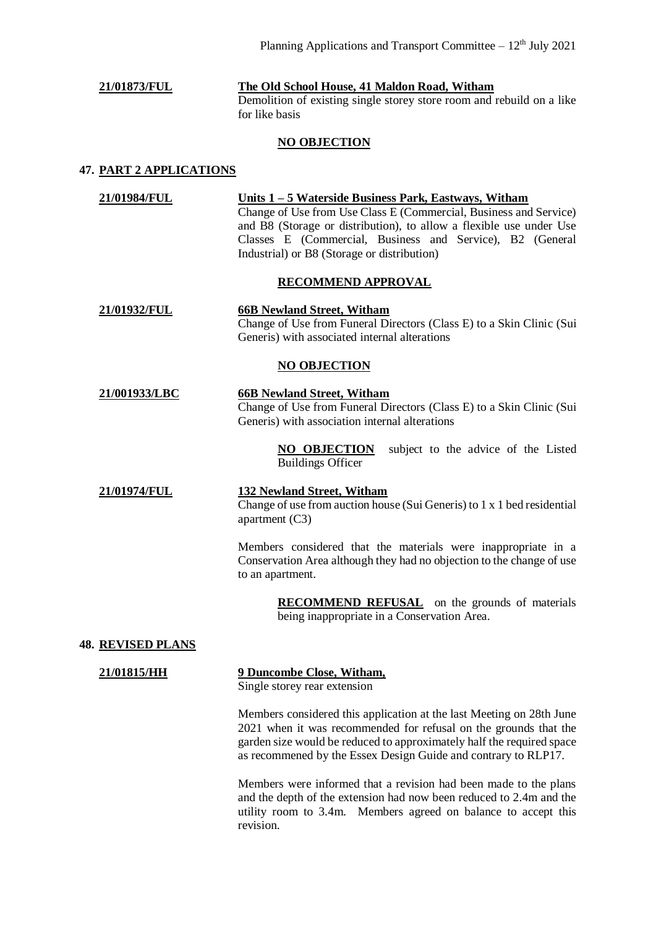**21/01873/FUL The Old School House, 41 Maldon Road, Witham** Demolition of existing single storey store room and rebuild on a like for like basis

# **NO OBJECTION**

#### **47. PART 2 APPLICATIONS**

**21/01984/FUL Units 1 – 5 Waterside Business Park, Eastways, Witham** Change of Use from Use Class E (Commercial, Business and Service) and B8 (Storage or distribution), to allow a flexible use under Use Classes E (Commercial, Business and Service), B2 (General Industrial) or B8 (Storage or distribution)

#### **RECOMMEND APPROVAL**

**21/01932/FUL 66B Newland Street, Witham** Change of Use from Funeral Directors (Class E) to a Skin Clinic (Sui Generis) with associated internal alterations

#### **NO OBJECTION**

**21/001933/LBC 66B Newland Street, Witham** Change of Use from Funeral Directors (Class E) to a Skin Clinic (Sui Generis) with association internal alterations

> **NO OBJECTION** subject to the advice of the Listed Buildings Officer

# **21/01974/FUL 132 Newland Street, Witham** Change of use from auction house (Sui Generis) to 1 x 1 bed residential apartment (C3)

Members considered that the materials were inappropriate in a Conservation Area although they had no objection to the change of use to an apartment.

> **RECOMMEND REFUSAL** on the grounds of materials being inappropriate in a Conservation Area.

## **48. REVISED PLANS**

# **21/01815/HH 9 Duncombe Close, Witham,**

Single storey rear extension

Members considered this application at the last Meeting on 28th June 2021 when it was recommended for refusal on the grounds that the garden size would be reduced to approximately half the required space as recommened by the Essex Design Guide and contrary to RLP17.

Members were informed that a revision had been made to the plans and the depth of the extension had now been reduced to 2.4m and the utility room to 3.4m. Members agreed on balance to accept this revision.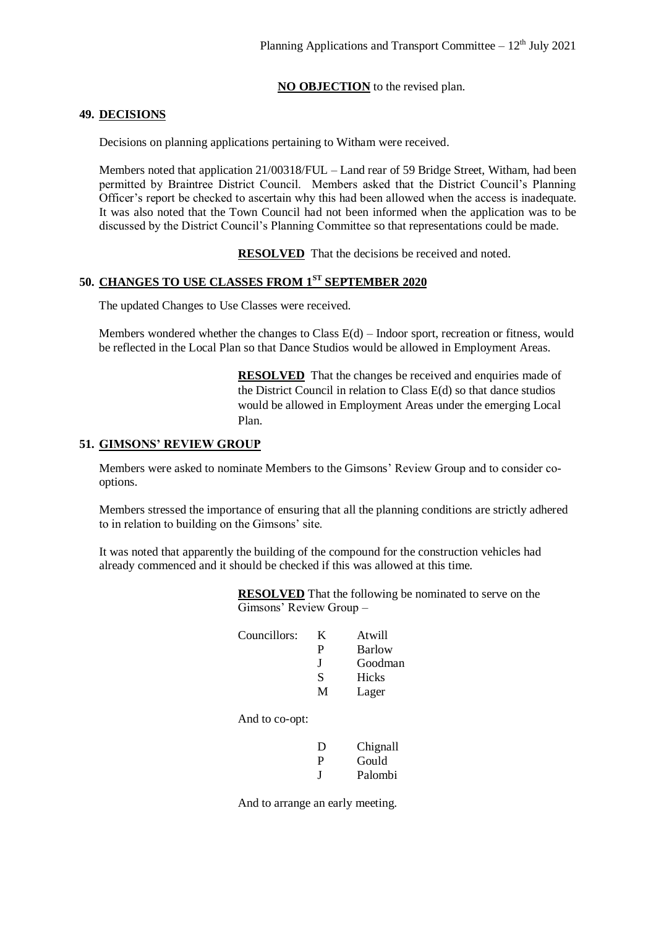# **NO OBJECTION** to the revised plan.

#### **49. DECISIONS**

Decisions on planning applications pertaining to Witham were received.

Members noted that application 21/00318/FUL – Land rear of 59 Bridge Street, Witham, had been permitted by Braintree District Council. Members asked that the District Council's Planning Officer's report be checked to ascertain why this had been allowed when the access is inadequate. It was also noted that the Town Council had not been informed when the application was to be discussed by the District Council's Planning Committee so that representations could be made.

**RESOLVED** That the decisions be received and noted.

# **50. CHANGES TO USE CLASSES FROM 1ST SEPTEMBER 2020**

The updated Changes to Use Classes were received.

Members wondered whether the changes to Class E(d) – Indoor sport, recreation or fitness, would be reflected in the Local Plan so that Dance Studios would be allowed in Employment Areas.

> **RESOLVED** That the changes be received and enquiries made of the District Council in relation to Class E(d) so that dance studios would be allowed in Employment Areas under the emerging Local Plan.

#### **51. GIMSONS' REVIEW GROUP**

Members were asked to nominate Members to the Gimsons' Review Group and to consider cooptions.

Members stressed the importance of ensuring that all the planning conditions are strictly adhered to in relation to building on the Gimsons' site.

It was noted that apparently the building of the compound for the construction vehicles had already commenced and it should be checked if this was allowed at this time.

> **RESOLVED** That the following be nominated to serve on the Gimsons' Review Group –

| Councillors: | K. | Atwill  |
|--------------|----|---------|
|              | р  | Barlow  |
|              | H  | Goodman |
|              | S  | Hicks   |
|              | M  | Lager   |

And to co-opt:

| Ð       | Chignall |
|---------|----------|
| P       | Gould    |
| $\cdot$ | Palombi  |

And to arrange an early meeting.